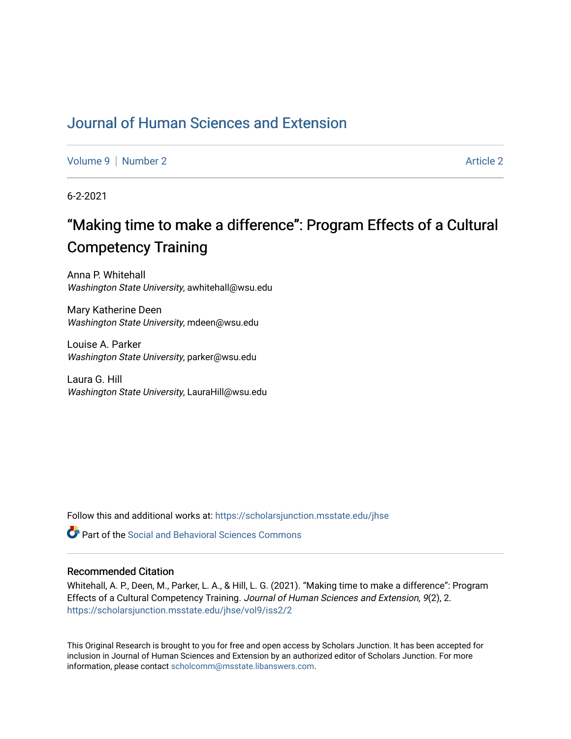# [Journal of Human Sciences and Extension](https://scholarsjunction.msstate.edu/jhse)

[Volume 9](https://scholarsjunction.msstate.edu/jhse/vol9) | [Number 2](https://scholarsjunction.msstate.edu/jhse/vol9/iss2) [Article 2](https://scholarsjunction.msstate.edu/jhse/vol9/iss2/2) Article 2 Article 2 Article 2 Article 2 Article 2 Article 2 Article 2 Article 2

6-2-2021

# "Making time to make a difference": Program Effects of a Cultural Competency Training

Anna P. Whitehall Washington State University, awhitehall@wsu.edu

Mary Katherine Deen Washington State University, mdeen@wsu.edu

Louise A. Parker Washington State University, parker@wsu.edu

Laura G. Hill Washington State University, LauraHill@wsu.edu

Follow this and additional works at: [https://scholarsjunction.msstate.edu/jhse](https://scholarsjunction.msstate.edu/jhse?utm_source=scholarsjunction.msstate.edu%2Fjhse%2Fvol9%2Fiss2%2F2&utm_medium=PDF&utm_campaign=PDFCoverPages)

**C** Part of the Social and Behavioral Sciences Commons

#### Recommended Citation

Whitehall, A. P., Deen, M., Parker, L. A., & Hill, L. G. (2021). "Making time to make a difference": Program Effects of a Cultural Competency Training. Journal of Human Sciences and Extension, 9(2), 2. [https://scholarsjunction.msstate.edu/jhse/vol9/iss2/2](https://scholarsjunction.msstate.edu/jhse/vol9/iss2/2?utm_source=scholarsjunction.msstate.edu%2Fjhse%2Fvol9%2Fiss2%2F2&utm_medium=PDF&utm_campaign=PDFCoverPages)

This Original Research is brought to you for free and open access by Scholars Junction. It has been accepted for inclusion in Journal of Human Sciences and Extension by an authorized editor of Scholars Junction. For more information, please contact [scholcomm@msstate.libanswers.com](mailto:scholcomm@msstate.libanswers.com).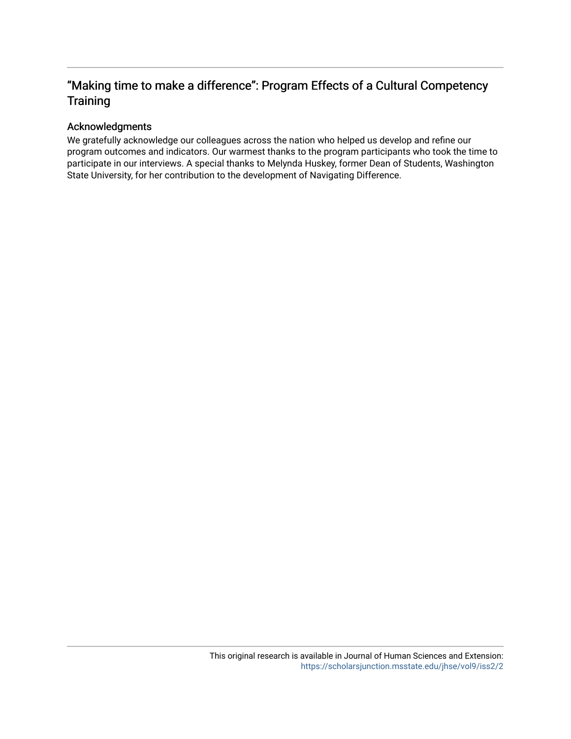# "Making time to make a difference": Program Effects of a Cultural Competency **Training**

#### Acknowledgments

We gratefully acknowledge our colleagues across the nation who helped us develop and refine our program outcomes and indicators. Our warmest thanks to the program participants who took the time to participate in our interviews. A special thanks to Melynda Huskey, former Dean of Students, Washington State University, for her contribution to the development of Navigating Difference.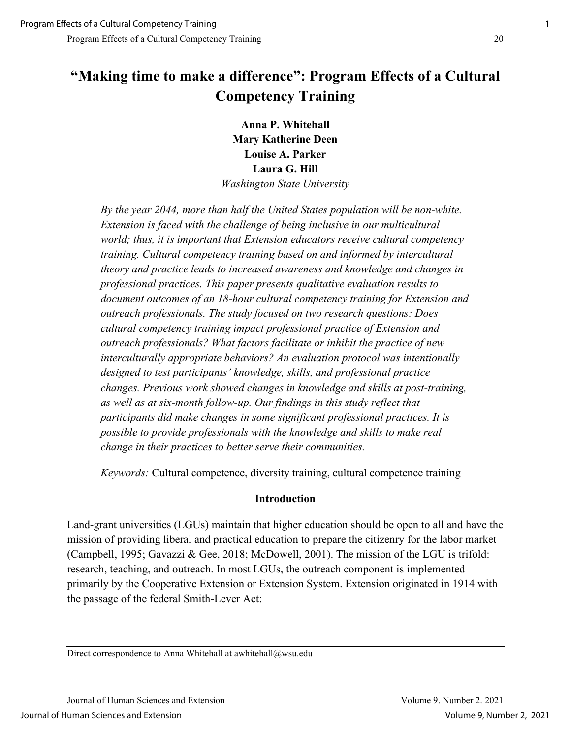# **"Making time to make a difference": Program Effects of a Cultural Competency Training**

**Anna P. Whitehall Mary Katherine Deen Louise A. Parker Laura G. Hill**  *Washington State University* 

*By the year 2044, more than half the United States population will be non-white. Extension is faced with the challenge of being inclusive in our multicultural world; thus, it is important that Extension educators receive cultural competency training. Cultural competency training based on and informed by intercultural theory and practice leads to increased awareness and knowledge and changes in professional practices. This paper presents qualitative evaluation results to document outcomes of an 18-hour cultural competency training for Extension and outreach professionals. The study focused on two research questions: Does cultural competency training impact professional practice of Extension and outreach professionals? What factors facilitate or inhibit the practice of new interculturally appropriate behaviors? An evaluation protocol was intentionally designed to test participants' knowledge, skills, and professional practice changes. Previous work showed changes in knowledge and skills at post-training, as well as at six-month follow-up. Our findings in this study reflect that participants did make changes in some significant professional practices. It is possible to provide professionals with the knowledge and skills to make real change in their practices to better serve their communities.*

*Keywords:* Cultural competence, diversity training, cultural competence training

#### **Introduction**

Land-grant universities (LGUs) maintain that higher education should be open to all and have the mission of providing liberal and practical education to prepare the citizenry for the labor market (Campbell, 1995; Gavazzi & Gee, 2018; McDowell, 2001). The mission of the LGU is trifold: research, teaching, and outreach. In most LGUs, the outreach component is implemented primarily by the Cooperative Extension or Extension System. Extension originated in 1914 with the passage of the federal Smith-Lever Act:

Direct correspondence to Anna Whitehall at awhitehall@wsu.edu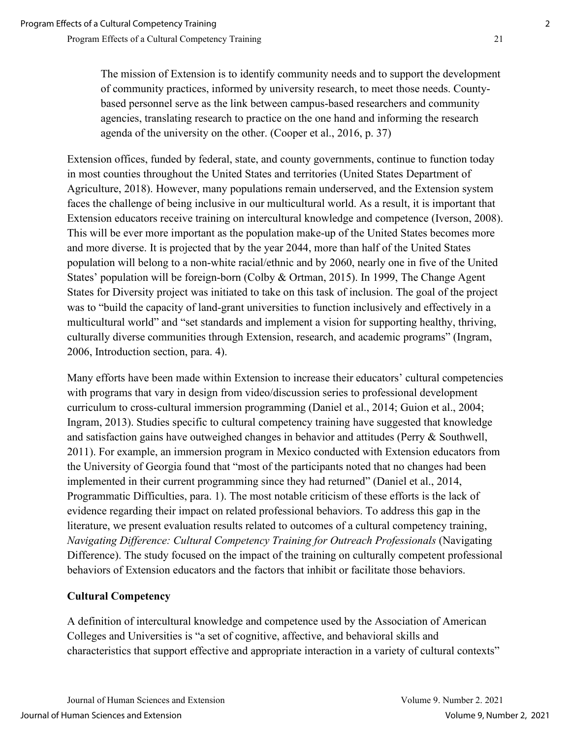The mission of Extension is to identify community needs and to support the development of community practices, informed by university research, to meet those needs. Countybased personnel serve as the link between campus-based researchers and community agencies, translating research to practice on the one hand and informing the research agenda of the university on the other. (Cooper et al., 2016, p. 37)

Extension offices, funded by federal, state, and county governments, continue to function today in most counties throughout the United States and territories (United States Department of Agriculture, 2018). However, many populations remain underserved, and the Extension system faces the challenge of being inclusive in our multicultural world. As a result, it is important that Extension educators receive training on intercultural knowledge and competence (Iverson, 2008). This will be ever more important as the population make-up of the United States becomes more and more diverse. It is projected that by the year 2044, more than half of the United States population will belong to a non-white racial/ethnic and by 2060, nearly one in five of the United States' population will be foreign-born (Colby & Ortman, 2015). In 1999, The Change Agent States for Diversity project was initiated to take on this task of inclusion. The goal of the project was to "build the capacity of land-grant universities to function inclusively and effectively in a multicultural world" and "set standards and implement a vision for supporting healthy, thriving, culturally diverse communities through Extension, research, and academic programs" (Ingram, 2006, Introduction section, para. 4).

Many efforts have been made within Extension to increase their educators' cultural competencies with programs that vary in design from video/discussion series to professional development curriculum to cross-cultural immersion programming (Daniel et al., 2014; Guion et al., 2004; Ingram, 2013). Studies specific to cultural competency training have suggested that knowledge and satisfaction gains have outweighed changes in behavior and attitudes (Perry & Southwell, 2011). For example, an immersion program in Mexico conducted with Extension educators from the University of Georgia found that "most of the participants noted that no changes had been implemented in their current programming since they had returned" (Daniel et al., 2014, Programmatic Difficulties, para. 1). The most notable criticism of these efforts is the lack of evidence regarding their impact on related professional behaviors. To address this gap in the literature, we present evaluation results related to outcomes of a cultural competency training, *Navigating Difference: Cultural Competency Training for Outreach Professionals* (Navigating Difference). The study focused on the impact of the training on culturally competent professional behaviors of Extension educators and the factors that inhibit or facilitate those behaviors.

# **Cultural Competency**

A definition of intercultural knowledge and competence used by the Association of American Colleges and Universities is "a set of cognitive, affective, and behavioral skills and characteristics that support effective and appropriate interaction in a variety of cultural contexts"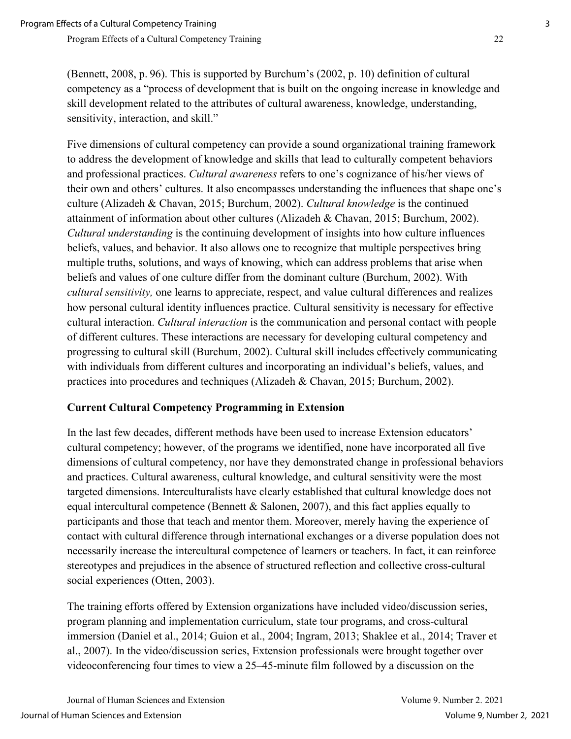(Bennett, 2008, p. 96). This is supported by Burchum's (2002, p. 10) definition of cultural competency as a "process of development that is built on the ongoing increase in knowledge and skill development related to the attributes of cultural awareness, knowledge, understanding, sensitivity, interaction, and skill."

Five dimensions of cultural competency can provide a sound organizational training framework to address the development of knowledge and skills that lead to culturally competent behaviors and professional practices. *Cultural awareness* refers to one's cognizance of his/her views of their own and others' cultures. It also encompasses understanding the influences that shape one's culture (Alizadeh & Chavan, 2015; Burchum, 2002). *Cultural knowledge* is the continued attainment of information about other cultures (Alizadeh & Chavan, 2015; Burchum, 2002). *Cultural understanding* is the continuing development of insights into how culture influences beliefs, values, and behavior. It also allows one to recognize that multiple perspectives bring multiple truths, solutions, and ways of knowing, which can address problems that arise when beliefs and values of one culture differ from the dominant culture (Burchum, 2002). With *cultural sensitivity,* one learns to appreciate, respect, and value cultural differences and realizes how personal cultural identity influences practice. Cultural sensitivity is necessary for effective cultural interaction. *Cultural interaction* is the communication and personal contact with people of different cultures. These interactions are necessary for developing cultural competency and progressing to cultural skill (Burchum, 2002). Cultural skill includes effectively communicating with individuals from different cultures and incorporating an individual's beliefs, values, and practices into procedures and techniques (Alizadeh & Chavan, 2015; Burchum, 2002).

# **Current Cultural Competency Programming in Extension**

In the last few decades, different methods have been used to increase Extension educators' cultural competency; however, of the programs we identified, none have incorporated all five dimensions of cultural competency, nor have they demonstrated change in professional behaviors and practices. Cultural awareness, cultural knowledge, and cultural sensitivity were the most targeted dimensions. Interculturalists have clearly established that cultural knowledge does not equal intercultural competence (Bennett & Salonen, 2007), and this fact applies equally to participants and those that teach and mentor them. Moreover, merely having the experience of contact with cultural difference through international exchanges or a diverse population does not necessarily increase the intercultural competence of learners or teachers. In fact, it can reinforce stereotypes and prejudices in the absence of structured reflection and collective cross-cultural social experiences (Otten, 2003).

The training efforts offered by Extension organizations have included video/discussion series, program planning and implementation curriculum, state tour programs, and cross-cultural immersion (Daniel et al., 2014; Guion et al., 2004; Ingram, 2013; Shaklee et al., 2014; Traver et al., 2007). In the video/discussion series, Extension professionals were brought together over videoconferencing four times to view a 25–45-minute film followed by a discussion on the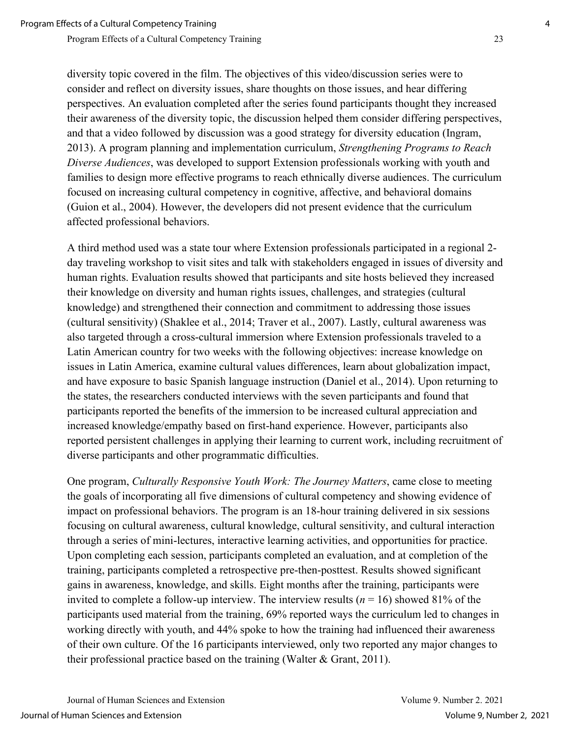diversity topic covered in the film. The objectives of this video/discussion series were to consider and reflect on diversity issues, share thoughts on those issues, and hear differing perspectives. An evaluation completed after the series found participants thought they increased their awareness of the diversity topic, the discussion helped them consider differing perspectives, and that a video followed by discussion was a good strategy for diversity education (Ingram, 2013). A program planning and implementation curriculum, *Strengthening Programs to Reach Diverse Audiences*, was developed to support Extension professionals working with youth and families to design more effective programs to reach ethnically diverse audiences. The curriculum focused on increasing cultural competency in cognitive, affective, and behavioral domains (Guion et al., 2004). However, the developers did not present evidence that the curriculum affected professional behaviors.

A third method used was a state tour where Extension professionals participated in a regional 2 day traveling workshop to visit sites and talk with stakeholders engaged in issues of diversity and human rights. Evaluation results showed that participants and site hosts believed they increased their knowledge on diversity and human rights issues, challenges, and strategies (cultural knowledge) and strengthened their connection and commitment to addressing those issues (cultural sensitivity) (Shaklee et al., 2014; Traver et al., 2007). Lastly, cultural awareness was also targeted through a cross-cultural immersion where Extension professionals traveled to a Latin American country for two weeks with the following objectives: increase knowledge on issues in Latin America, examine cultural values differences, learn about globalization impact, and have exposure to basic Spanish language instruction (Daniel et al., 2014). Upon returning to the states, the researchers conducted interviews with the seven participants and found that participants reported the benefits of the immersion to be increased cultural appreciation and increased knowledge/empathy based on first-hand experience. However, participants also reported persistent challenges in applying their learning to current work, including recruitment of diverse participants and other programmatic difficulties.

One program, *Culturally Responsive Youth Work: The Journey Matters*, came close to meeting the goals of incorporating all five dimensions of cultural competency and showing evidence of impact on professional behaviors. The program is an 18-hour training delivered in six sessions focusing on cultural awareness, cultural knowledge, cultural sensitivity, and cultural interaction through a series of mini-lectures, interactive learning activities, and opportunities for practice. Upon completing each session, participants completed an evaluation, and at completion of the training, participants completed a retrospective pre-then-posttest. Results showed significant gains in awareness, knowledge, and skills. Eight months after the training, participants were invited to complete a follow-up interview. The interview results (*n* = 16) showed 81% of the participants used material from the training, 69% reported ways the curriculum led to changes in working directly with youth, and 44% spoke to how the training had influenced their awareness of their own culture. Of the 16 participants interviewed, only two reported any major changes to their professional practice based on the training (Walter & Grant, 2011).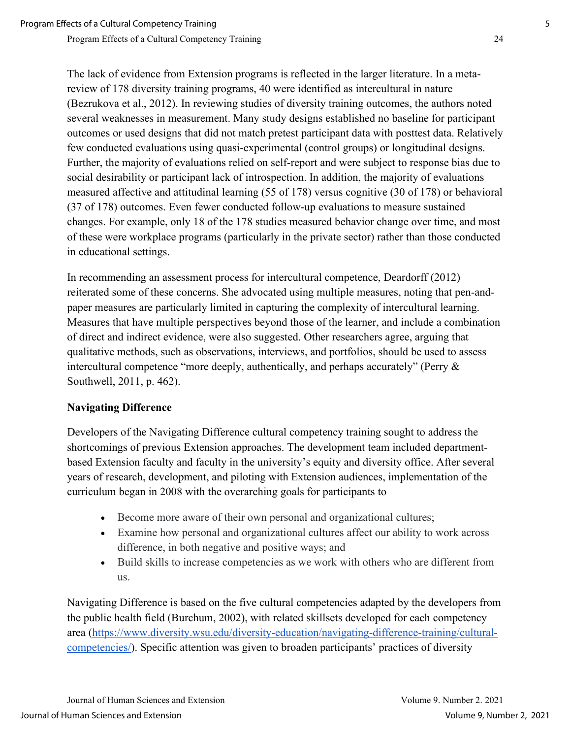The lack of evidence from Extension programs is reflected in the larger literature. In a metareview of 178 diversity training programs, 40 were identified as intercultural in nature (Bezrukova et al., 2012). In reviewing studies of diversity training outcomes, the authors noted several weaknesses in measurement. Many study designs established no baseline for participant outcomes or used designs that did not match pretest participant data with posttest data. Relatively few conducted evaluations using quasi-experimental (control groups) or longitudinal designs. Further, the majority of evaluations relied on self-report and were subject to response bias due to social desirability or participant lack of introspection. In addition, the majority of evaluations measured affective and attitudinal learning (55 of 178) versus cognitive (30 of 178) or behavioral (37 of 178) outcomes. Even fewer conducted follow-up evaluations to measure sustained changes. For example, only 18 of the 178 studies measured behavior change over time, and most of these were workplace programs (particularly in the private sector) rather than those conducted in educational settings.

In recommending an assessment process for intercultural competence, Deardorff (2012) reiterated some of these concerns. She advocated using multiple measures, noting that pen-andpaper measures are particularly limited in capturing the complexity of intercultural learning. Measures that have multiple perspectives beyond those of the learner, and include a combination of direct and indirect evidence, were also suggested. Other researchers agree, arguing that qualitative methods, such as observations, interviews, and portfolios, should be used to assess intercultural competence "more deeply, authentically, and perhaps accurately" (Perry & Southwell, 2011, p. 462).

# **Navigating Difference**

Developers of the Navigating Difference cultural competency training sought to address the shortcomings of previous Extension approaches. The development team included departmentbased Extension faculty and faculty in the university's equity and diversity office. After several years of research, development, and piloting with Extension audiences, implementation of the curriculum began in 2008 with the overarching goals for participants to

- Become more aware of their own personal and organizational cultures;
- Examine how personal and organizational cultures affect our ability to work across difference, in both negative and positive ways; and
- Build skills to increase competencies as we work with others who are different from us.

Navigating Difference is based on the five cultural competencies adapted by the developers from the public health field (Burchum, 2002), with related skillsets developed for each competency area [\(https://www.diversity.wsu.edu/diversity-education/navigating-difference-training/cultural](https://www.diversity.wsu.edu/diversity-education/navigating-difference-training/cultural-competencies/)[competencies/\)](https://www.diversity.wsu.edu/diversity-education/navigating-difference-training/cultural-competencies/). Specific attention was given to broaden participants' practices of diversity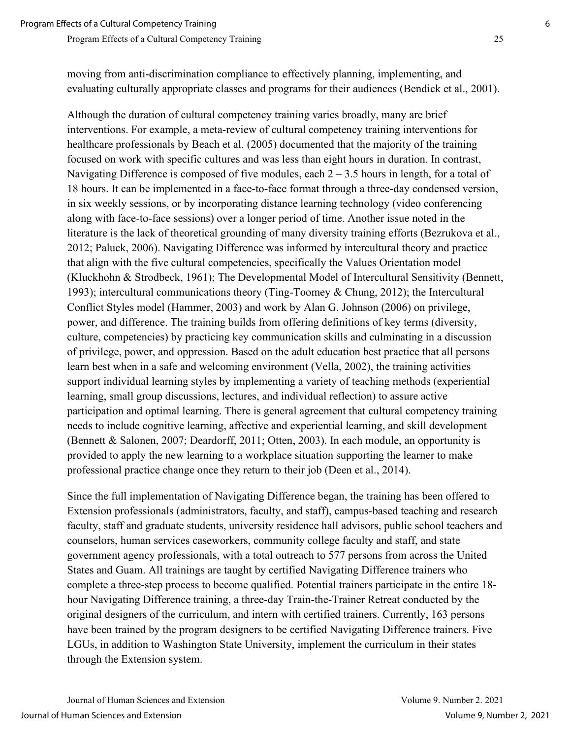Although the duration of cultural competency training varies broadly, many are brief interventions. For example, a meta-review of cultural competency training interventions for healthcare professionals by Beach et al. (2005) documented that the majority of the training focused on work with specific cultures and was less than eight hours in duration. In contrast, Navigating Difference is composed of five modules, each  $2 - 3.5$  hours in length, for a total of 18 hours. It can be implemented in a face-to-face format through a three-day condensed version, in six weekly sessions, or by incorporating distance learning technology (video conferencing along with face-to-face sessions) over a longer period of time. Another issue noted in the literature is the lack of theoretical grounding of many diversity training efforts (Bezrukova et al., 2012; Paluck, 2006). Navigating Difference was informed by intercultural theory and practice that align with the five cultural competencies, specifically the Values Orientation model (Kluckhohn & Strodbeck, 1961); The Developmental Model of Intercultural Sensitivity (Bennett, 1993); intercultural communications theory (Ting-Toomey & Chung, 2012); the Intercultural Conflict Styles model (Hammer, 2003) and work by Alan G. Johnson (2006) on privilege, power, and difference. The training builds from offering definitions of key terms (diversity, culture, competencies) by practicing key communication skills and culminating in a discussion of privilege, power, and oppression. Based on the adult education best practice that all persons learn best when in a safe and welcoming environment (Vella, 2002), the training activities support individual learning styles by implementing a variety of teaching methods (experiential learning, small group discussions, lectures, and individual reflection) to assure active participation and optimal learning. There is general agreement that cultural competency training needs to include cognitive learning, affective and experiential learning, and skill development (Bennett & Salonen, 2007; Deardorff, 2011; Otten, 2003). In each module, an opportunity is provided to apply the new learning to a workplace situation supporting the learner to make professional practice change once they return to their job (Deen et al., 2014).

Since the full implementation of Navigating Difference began, the training has been offered to Extension professionals (administrators, faculty, and staff), campus-based teaching and research faculty, staff and graduate students, university residence hall advisors, public school teachers and counselors, human services caseworkers, community college faculty and staff, and state government agency professionals, with a total outreach to 577 persons from across the United States and Guam. All trainings are taught by certified Navigating Difference trainers who complete a three-step process to become qualified. Potential trainers participate in the entire 18 hour Navigating Difference training, a three-day Train-the-Trainer Retreat conducted by the original designers of the curriculum, and intern with certified trainers. Currently, 163 persons have been trained by the program designers to be certified Navigating Difference trainers. Five LGUs, in addition to Washington State University, implement the curriculum in their states through the Extension system.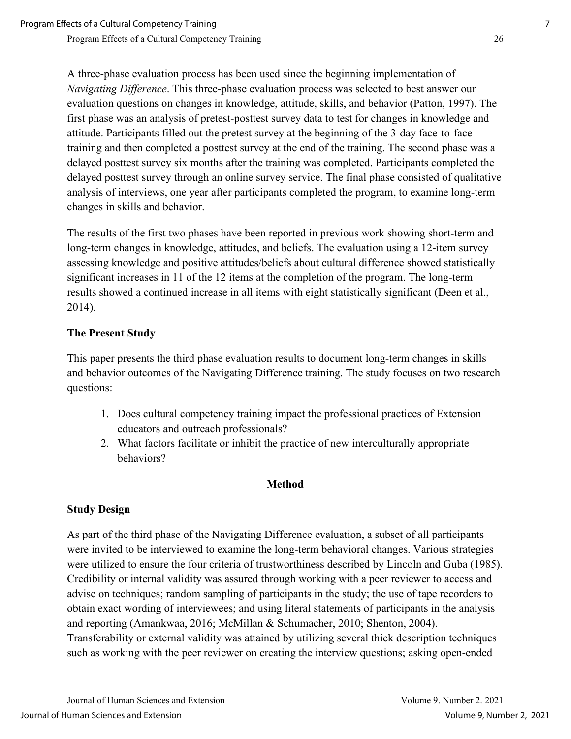A three-phase evaluation process has been used since the beginning implementation of *Navigating Difference*. This three-phase evaluation process was selected to best answer our evaluation questions on changes in knowledge, attitude, skills, and behavior (Patton, 1997). The first phase was an analysis of pretest-posttest survey data to test for changes in knowledge and attitude. Participants filled out the pretest survey at the beginning of the 3-day face-to-face training and then completed a posttest survey at the end of the training. The second phase was a delayed posttest survey six months after the training was completed. Participants completed the delayed posttest survey through an online survey service. The final phase consisted of qualitative analysis of interviews, one year after participants completed the program, to examine long-term changes in skills and behavior.

The results of the first two phases have been reported in previous work showing short-term and long-term changes in knowledge, attitudes, and beliefs. The evaluation using a 12-item survey assessing knowledge and positive attitudes/beliefs about cultural difference showed statistically significant increases in 11 of the 12 items at the completion of the program. The long-term results showed a continued increase in all items with eight statistically significant (Deen et al., 2014).

## **The Present Study**

This paper presents the third phase evaluation results to document long-term changes in skills and behavior outcomes of the Navigating Difference training. The study focuses on two research questions:

- 1. Does cultural competency training impact the professional practices of Extension educators and outreach professionals?
- 2. What factors facilitate or inhibit the practice of new interculturally appropriate behaviors?

#### **Method**

#### **Study Design**

As part of the third phase of the Navigating Difference evaluation, a subset of all participants were invited to be interviewed to examine the long-term behavioral changes. Various strategies were utilized to ensure the four criteria of trustworthiness described by Lincoln and Guba (1985). Credibility or internal validity was assured through working with a peer reviewer to access and advise on techniques; random sampling of participants in the study; the use of tape recorders to obtain exact wording of interviewees; and using literal statements of participants in the analysis and reporting (Amankwaa, 2016; McMillan & Schumacher, 2010; Shenton, 2004). Transferability or external validity was attained by utilizing several thick description techniques such as working with the peer reviewer on creating the interview questions; asking open-ended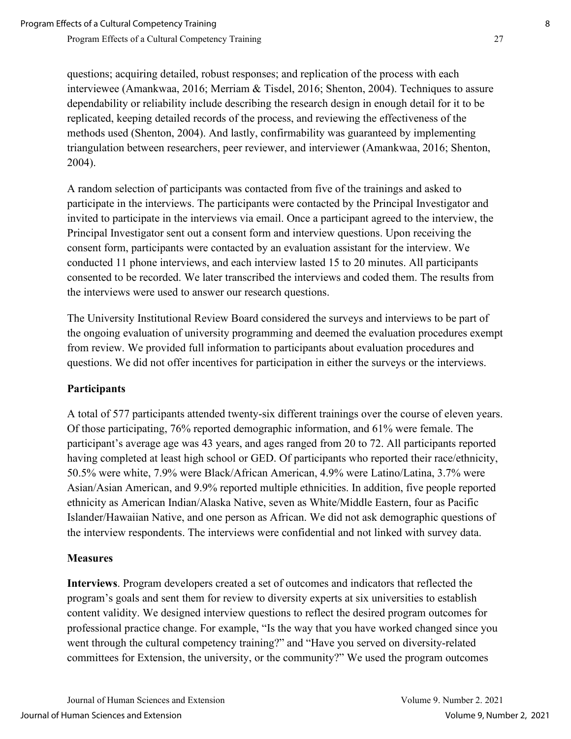questions; acquiring detailed, robust responses; and replication of the process with each interviewee (Amankwaa, 2016; Merriam & Tisdel, 2016; Shenton, 2004). Techniques to assure dependability or reliability include describing the research design in enough detail for it to be replicated, keeping detailed records of the process, and reviewing the effectiveness of the methods used (Shenton, 2004). And lastly, confirmability was guaranteed by implementing triangulation between researchers, peer reviewer, and interviewer (Amankwaa, 2016; Shenton, 2004).

A random selection of participants was contacted from five of the trainings and asked to participate in the interviews. The participants were contacted by the Principal Investigator and invited to participate in the interviews via email. Once a participant agreed to the interview, the Principal Investigator sent out a consent form and interview questions. Upon receiving the consent form, participants were contacted by an evaluation assistant for the interview. We conducted 11 phone interviews, and each interview lasted 15 to 20 minutes. All participants consented to be recorded. We later transcribed the interviews and coded them. The results from the interviews were used to answer our research questions.

The University Institutional Review Board considered the surveys and interviews to be part of the ongoing evaluation of university programming and deemed the evaluation procedures exempt from review. We provided full information to participants about evaluation procedures and questions. We did not offer incentives for participation in either the surveys or the interviews.

# **Participants**

A total of 577 participants attended twenty-six different trainings over the course of eleven years. Of those participating, 76% reported demographic information, and 61% were female. The participant's average age was 43 years, and ages ranged from 20 to 72. All participants reported having completed at least high school or GED. Of participants who reported their race/ethnicity, 50.5% were white, 7.9% were Black/African American, 4.9% were Latino/Latina, 3.7% were Asian/Asian American, and 9.9% reported multiple ethnicities. In addition, five people reported ethnicity as American Indian/Alaska Native, seven as White/Middle Eastern, four as Pacific Islander/Hawaiian Native, and one person as African. We did not ask demographic questions of the interview respondents. The interviews were confidential and not linked with survey data.

#### **Measures**

**Interviews**. Program developers created a set of outcomes and indicators that reflected the program's goals and sent them for review to diversity experts at six universities to establish content validity. We designed interview questions to reflect the desired program outcomes for professional practice change. For example, "Is the way that you have worked changed since you went through the cultural competency training?" and "Have you served on diversity-related committees for Extension, the university, or the community?" We used the program outcomes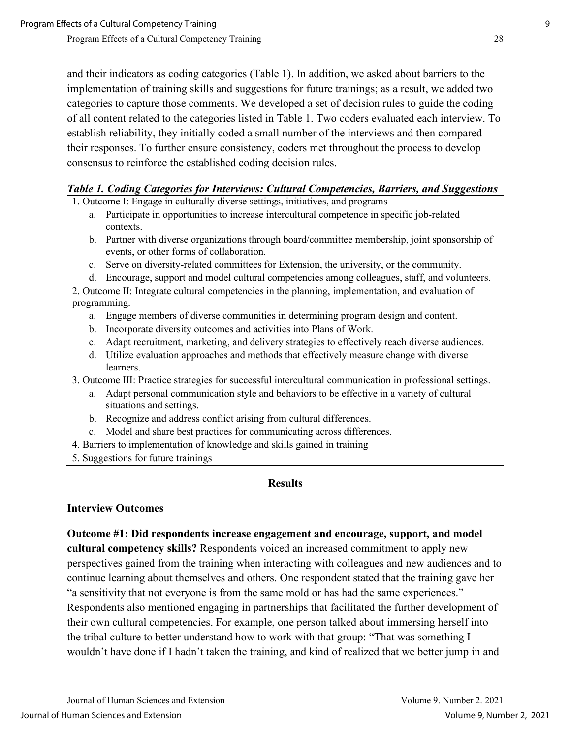and their indicators as coding categories (Table 1). In addition, we asked about barriers to the implementation of training skills and suggestions for future trainings; as a result, we added two categories to capture those comments. We developed a set of decision rules to guide the coding of all content related to the categories listed in Table 1. Two coders evaluated each interview. To establish reliability, they initially coded a small number of the interviews and then compared their responses. To further ensure consistency, coders met throughout the process to develop consensus to reinforce the established coding decision rules.

#### *Table 1. Coding Categories for Interviews: Cultural Competencies, Barriers, and Suggestions*

1. Outcome I: Engage in culturally diverse settings, initiatives, and programs

- a. Participate in opportunities to increase intercultural competence in specific job-related contexts.
- b. Partner with diverse organizations through board/committee membership, joint sponsorship of events, or other forms of collaboration.
- c. Serve on diversity-related committees for Extension, the university, or the community.
- d. Encourage, support and model cultural competencies among colleagues, staff, and volunteers.

2. Outcome II: Integrate cultural competencies in the planning, implementation, and evaluation of programming.

- a. Engage members of diverse communities in determining program design and content.
- b. Incorporate diversity outcomes and activities into Plans of Work.
- c. Adapt recruitment, marketing, and delivery strategies to effectively reach diverse audiences.
- d. Utilize evaluation approaches and methods that effectively measure change with diverse learners.
- 3. Outcome III: Practice strategies for successful intercultural communication in professional settings.
	- a. Adapt personal communication style and behaviors to be effective in a variety of cultural situations and settings.
	- b. Recognize and address conflict arising from cultural differences.
	- c. Model and share best practices for communicating across differences.
- 4. Barriers to implementation of knowledge and skills gained in training
- 5. Suggestions for future trainings

#### **Results**

#### **Interview Outcomes**

**Outcome #1: Did respondents increase engagement and encourage, support, and model cultural competency skills?** Respondents voiced an increased commitment to apply new perspectives gained from the training when interacting with colleagues and new audiences and to continue learning about themselves and others. One respondent stated that the training gave her "a sensitivity that not everyone is from the same mold or has had the same experiences." Respondents also mentioned engaging in partnerships that facilitated the further development of their own cultural competencies. For example, one person talked about immersing herself into the tribal culture to better understand how to work with that group: "That was something I wouldn't have done if I hadn't taken the training, and kind of realized that we better jump in and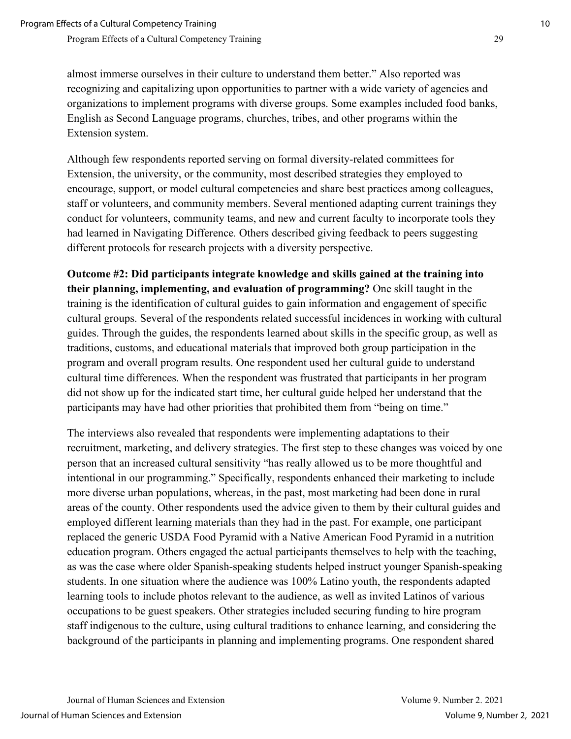almost immerse ourselves in their culture to understand them better." Also reported was recognizing and capitalizing upon opportunities to partner with a wide variety of agencies and organizations to implement programs with diverse groups. Some examples included food banks, English as Second Language programs, churches, tribes, and other programs within the Extension system.

Although few respondents reported serving on formal diversity-related committees for Extension, the university, or the community, most described strategies they employed to encourage, support, or model cultural competencies and share best practices among colleagues, staff or volunteers, and community members. Several mentioned adapting current trainings they conduct for volunteers, community teams, and new and current faculty to incorporate tools they had learned in Navigating Difference*.* Others described giving feedback to peers suggesting different protocols for research projects with a diversity perspective.

**Outcome #2: Did participants integrate knowledge and skills gained at the training into their planning, implementing, and evaluation of programming?** One skill taught in the training is the identification of cultural guides to gain information and engagement of specific cultural groups. Several of the respondents related successful incidences in working with cultural guides. Through the guides, the respondents learned about skills in the specific group, as well as traditions, customs, and educational materials that improved both group participation in the program and overall program results. One respondent used her cultural guide to understand cultural time differences. When the respondent was frustrated that participants in her program did not show up for the indicated start time, her cultural guide helped her understand that the participants may have had other priorities that prohibited them from "being on time."

The interviews also revealed that respondents were implementing adaptations to their recruitment, marketing, and delivery strategies. The first step to these changes was voiced by one person that an increased cultural sensitivity "has really allowed us to be more thoughtful and intentional in our programming." Specifically, respondents enhanced their marketing to include more diverse urban populations, whereas, in the past, most marketing had been done in rural areas of the county. Other respondents used the advice given to them by their cultural guides and employed different learning materials than they had in the past. For example, one participant replaced the generic USDA Food Pyramid with a Native American Food Pyramid in a nutrition education program. Others engaged the actual participants themselves to help with the teaching, as was the case where older Spanish-speaking students helped instruct younger Spanish-speaking students. In one situation where the audience was 100% Latino youth, the respondents adapted learning tools to include photos relevant to the audience, as well as invited Latinos of various occupations to be guest speakers. Other strategies included securing funding to hire program staff indigenous to the culture, using cultural traditions to enhance learning, and considering the background of the participants in planning and implementing programs. One respondent shared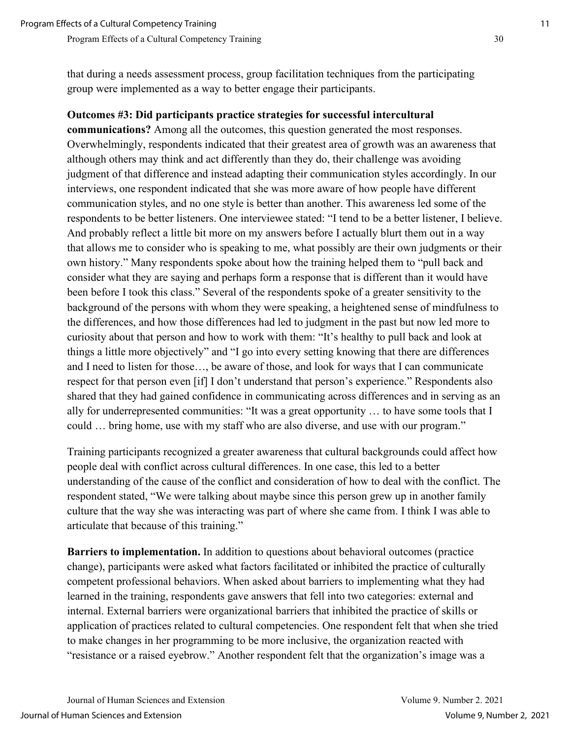that during a needs assessment process, group facilitation techniques from the participating group were implemented as a way to better engage their participants.

#### **Outcomes #3: Did participants practice strategies for successful intercultural**

**communications?** Among all the outcomes, this question generated the most responses. Overwhelmingly, respondents indicated that their greatest area of growth was an awareness that although others may think and act differently than they do, their challenge was avoiding judgment of that difference and instead adapting their communication styles accordingly. In our interviews, one respondent indicated that she was more aware of how people have different communication styles, and no one style is better than another. This awareness led some of the respondents to be better listeners. One interviewee stated: "I tend to be a better listener, I believe. And probably reflect a little bit more on my answers before I actually blurt them out in a way that allows me to consider who is speaking to me, what possibly are their own judgments or their own history." Many respondents spoke about how the training helped them to "pull back and consider what they are saying and perhaps form a response that is different than it would have been before I took this class." Several of the respondents spoke of a greater sensitivity to the background of the persons with whom they were speaking, a heightened sense of mindfulness to the differences, and how those differences had led to judgment in the past but now led more to curiosity about that person and how to work with them: "It's healthy to pull back and look at things a little more objectively" and "I go into every setting knowing that there are differences and I need to listen for those…, be aware of those, and look for ways that I can communicate respect for that person even [if] I don't understand that person's experience." Respondents also shared that they had gained confidence in communicating across differences and in serving as an ally for underrepresented communities: "It was a great opportunity … to have some tools that I could … bring home, use with my staff who are also diverse, and use with our program."

Training participants recognized a greater awareness that cultural backgrounds could affect how people deal with conflict across cultural differences. In one case, this led to a better understanding of the cause of the conflict and consideration of how to deal with the conflict. The respondent stated, "We were talking about maybe since this person grew up in another family culture that the way she was interacting was part of where she came from. I think I was able to articulate that because of this training."

**Barriers to implementation.** In addition to questions about behavioral outcomes (practice change), participants were asked what factors facilitated or inhibited the practice of culturally competent professional behaviors. When asked about barriers to implementing what they had learned in the training, respondents gave answers that fell into two categories: external and internal. External barriers were organizational barriers that inhibited the practice of skills or application of practices related to cultural competencies. One respondent felt that when she tried to make changes in her programming to be more inclusive, the organization reacted with "resistance or a raised eyebrow." Another respondent felt that the organization's image was a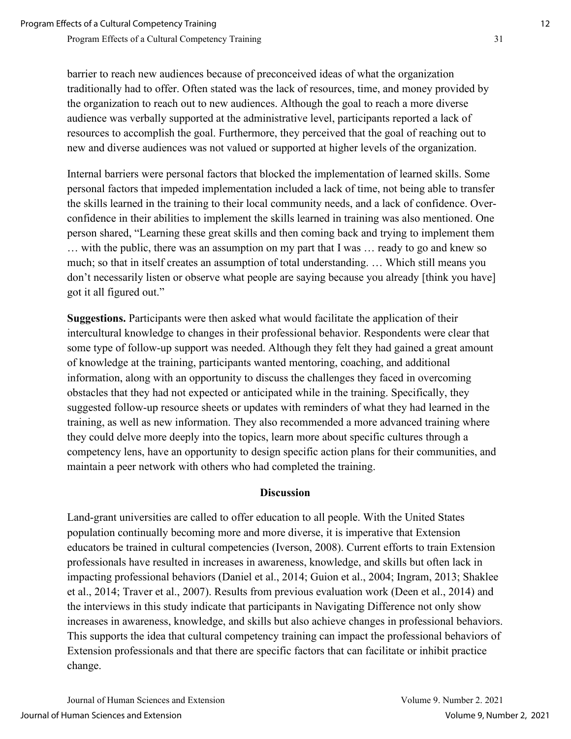barrier to reach new audiences because of preconceived ideas of what the organization traditionally had to offer. Often stated was the lack of resources, time, and money provided by the organization to reach out to new audiences. Although the goal to reach a more diverse audience was verbally supported at the administrative level, participants reported a lack of resources to accomplish the goal. Furthermore, they perceived that the goal of reaching out to new and diverse audiences was not valued or supported at higher levels of the organization.

Internal barriers were personal factors that blocked the implementation of learned skills. Some personal factors that impeded implementation included a lack of time, not being able to transfer the skills learned in the training to their local community needs, and a lack of confidence. Overconfidence in their abilities to implement the skills learned in training was also mentioned. One person shared, "Learning these great skills and then coming back and trying to implement them … with the public, there was an assumption on my part that I was … ready to go and knew so much; so that in itself creates an assumption of total understanding. … Which still means you don't necessarily listen or observe what people are saying because you already [think you have] got it all figured out."

**Suggestions.** Participants were then asked what would facilitate the application of their intercultural knowledge to changes in their professional behavior. Respondents were clear that some type of follow-up support was needed. Although they felt they had gained a great amount of knowledge at the training, participants wanted mentoring, coaching, and additional information, along with an opportunity to discuss the challenges they faced in overcoming obstacles that they had not expected or anticipated while in the training. Specifically, they suggested follow-up resource sheets or updates with reminders of what they had learned in the training, as well as new information. They also recommended a more advanced training where they could delve more deeply into the topics, learn more about specific cultures through a competency lens, have an opportunity to design specific action plans for their communities, and maintain a peer network with others who had completed the training.

#### **Discussion**

Land-grant universities are called to offer education to all people. With the United States population continually becoming more and more diverse, it is imperative that Extension educators be trained in cultural competencies (Iverson, 2008). Current efforts to train Extension professionals have resulted in increases in awareness, knowledge, and skills but often lack in impacting professional behaviors (Daniel et al., 2014; Guion et al., 2004; Ingram, 2013; Shaklee et al., 2014; Traver et al., 2007). Results from previous evaluation work (Deen et al., 2014) and the interviews in this study indicate that participants in Navigating Difference not only show increases in awareness, knowledge, and skills but also achieve changes in professional behaviors. This supports the idea that cultural competency training can impact the professional behaviors of Extension professionals and that there are specific factors that can facilitate or inhibit practice change.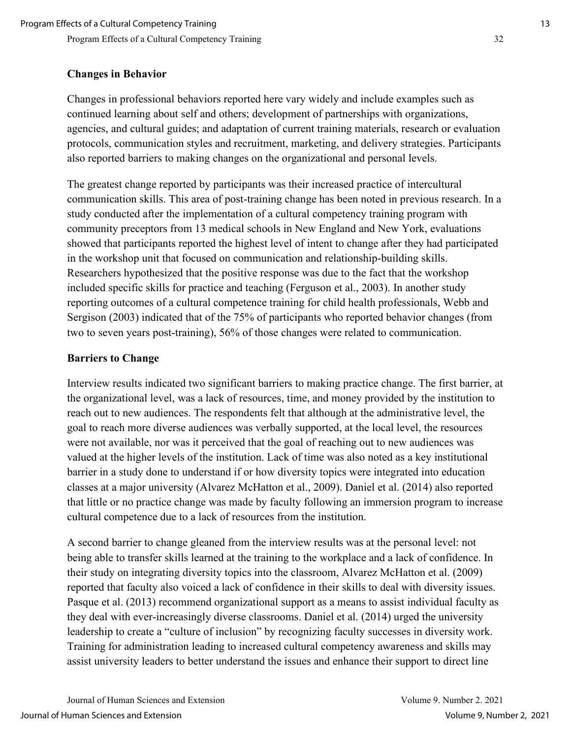## **Changes in Behavior**

Changes in professional behaviors reported here vary widely and include examples such as continued learning about self and others; development of partnerships with organizations, agencies, and cultural guides; and adaptation of current training materials, research or evaluation protocols, communication styles and recruitment, marketing, and delivery strategies. Participants also reported barriers to making changes on the organizational and personal levels.

The greatest change reported by participants was their increased practice of intercultural communication skills. This area of post-training change has been noted in previous research. In a study conducted after the implementation of a cultural competency training program with community preceptors from 13 medical schools in New England and New York, evaluations showed that participants reported the highest level of intent to change after they had participated in the workshop unit that focused on communication and relationship-building skills. Researchers hypothesized that the positive response was due to the fact that the workshop included specific skills for practice and teaching (Ferguson et al., 2003). In another study reporting outcomes of a cultural competence training for child health professionals, Webb and Sergison (2003) indicated that of the 75% of participants who reported behavior changes (from two to seven years post-training), 56% of those changes were related to communication.

## **Barriers to Change**

Interview results indicated two significant barriers to making practice change. The first barrier, at the organizational level, was a lack of resources, time, and money provided by the institution to reach out to new audiences. The respondents felt that although at the administrative level, the goal to reach more diverse audiences was verbally supported, at the local level, the resources were not available, nor was it perceived that the goal of reaching out to new audiences was valued at the higher levels of the institution. Lack of time was also noted as a key institutional barrier in a study done to understand if or how diversity topics were integrated into education classes at a major university (Alvarez McHatton et al., 2009). Daniel et al. (2014) also reported that little or no practice change was made by faculty following an immersion program to increase cultural competence due to a lack of resources from the institution.

A second barrier to change gleaned from the interview results was at the personal level: not being able to transfer skills learned at the training to the workplace and a lack of confidence. In their study on integrating diversity topics into the classroom, Alvarez McHatton et al. (2009) reported that faculty also voiced a lack of confidence in their skills to deal with diversity issues. Pasque et al. (2013) recommend organizational support as a means to assist individual faculty as they deal with ever-increasingly diverse classrooms. Daniel et al. (2014) urged the university leadership to create a "culture of inclusion" by recognizing faculty successes in diversity work. Training for administration leading to increased cultural competency awareness and skills may assist university leaders to better understand the issues and enhance their support to direct line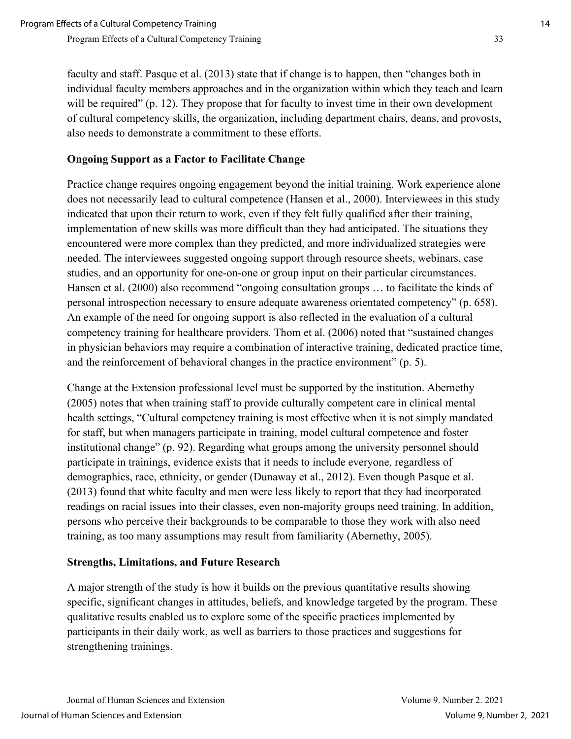faculty and staff. Pasque et al. (2013) state that if change is to happen, then "changes both in individual faculty members approaches and in the organization within which they teach and learn will be required" (p. 12). They propose that for faculty to invest time in their own development of cultural competency skills, the organization, including department chairs, deans, and provosts, also needs to demonstrate a commitment to these efforts.

# **Ongoing Support as a Factor to Facilitate Change**

Practice change requires ongoing engagement beyond the initial training. Work experience alone does not necessarily lead to cultural competence (Hansen et al., 2000). Interviewees in this study indicated that upon their return to work, even if they felt fully qualified after their training, implementation of new skills was more difficult than they had anticipated. The situations they encountered were more complex than they predicted, and more individualized strategies were needed. The interviewees suggested ongoing support through resource sheets, webinars, case studies, and an opportunity for one-on-one or group input on their particular circumstances. Hansen et al. (2000) also recommend "ongoing consultation groups … to facilitate the kinds of personal introspection necessary to ensure adequate awareness orientated competency" (p. 658). An example of the need for ongoing support is also reflected in the evaluation of a cultural competency training for healthcare providers. Thom et al. (2006) noted that "sustained changes in physician behaviors may require a combination of interactive training, dedicated practice time, and the reinforcement of behavioral changes in the practice environment" (p. 5).

Change at the Extension professional level must be supported by the institution. Abernethy (2005) notes that when training staff to provide culturally competent care in clinical mental health settings, "Cultural competency training is most effective when it is not simply mandated for staff, but when managers participate in training, model cultural competence and foster institutional change" (p. 92). Regarding what groups among the university personnel should participate in trainings, evidence exists that it needs to include everyone, regardless of demographics, race, ethnicity, or gender (Dunaway et al., 2012). Even though Pasque et al. (2013) found that white faculty and men were less likely to report that they had incorporated readings on racial issues into their classes, even non-majority groups need training. In addition, persons who perceive their backgrounds to be comparable to those they work with also need training, as too many assumptions may result from familiarity (Abernethy, 2005).

#### **Strengths, Limitations, and Future Research**

A major strength of the study is how it builds on the previous quantitative results showing specific, significant changes in attitudes, beliefs, and knowledge targeted by the program. These qualitative results enabled us to explore some of the specific practices implemented by participants in their daily work, as well as barriers to those practices and suggestions for strengthening trainings.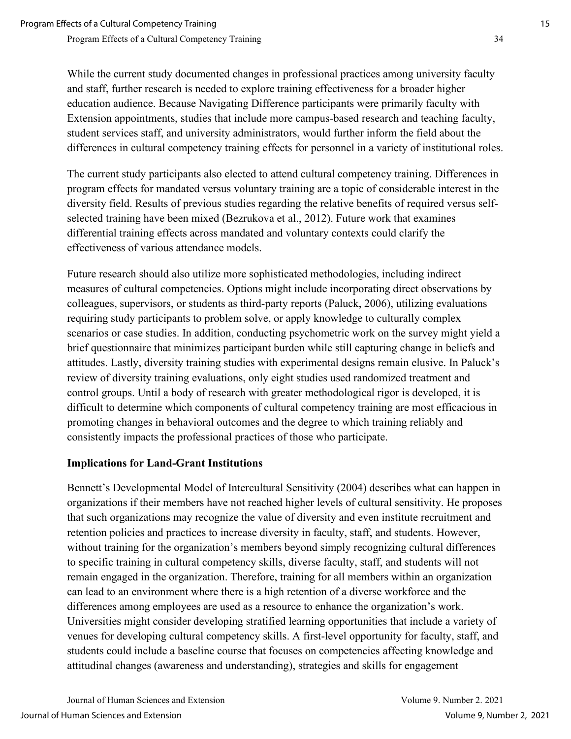While the current study documented changes in professional practices among university faculty and staff, further research is needed to explore training effectiveness for a broader higher education audience. Because Navigating Difference participants were primarily faculty with Extension appointments, studies that include more campus-based research and teaching faculty, student services staff, and university administrators, would further inform the field about the differences in cultural competency training effects for personnel in a variety of institutional roles.

The current study participants also elected to attend cultural competency training. Differences in program effects for mandated versus voluntary training are a topic of considerable interest in the diversity field. Results of previous studies regarding the relative benefits of required versus selfselected training have been mixed (Bezrukova et al., 2012). Future work that examines differential training effects across mandated and voluntary contexts could clarify the effectiveness of various attendance models.

Future research should also utilize more sophisticated methodologies, including indirect measures of cultural competencies. Options might include incorporating direct observations by colleagues, supervisors, or students as third-party reports (Paluck, 2006), utilizing evaluations requiring study participants to problem solve, or apply knowledge to culturally complex scenarios or case studies. In addition, conducting psychometric work on the survey might yield a brief questionnaire that minimizes participant burden while still capturing change in beliefs and attitudes. Lastly, diversity training studies with experimental designs remain elusive. In Paluck's review of diversity training evaluations, only eight studies used randomized treatment and control groups. Until a body of research with greater methodological rigor is developed, it is difficult to determine which components of cultural competency training are most efficacious in promoting changes in behavioral outcomes and the degree to which training reliably and consistently impacts the professional practices of those who participate.

# **Implications for Land-Grant Institutions**

Bennett's Developmental Model of Intercultural Sensitivity (2004) describes what can happen in organizations if their members have not reached higher levels of cultural sensitivity. He proposes that such organizations may recognize the value of diversity and even institute recruitment and retention policies and practices to increase diversity in faculty, staff, and students. However, without training for the organization's members beyond simply recognizing cultural differences to specific training in cultural competency skills, diverse faculty, staff, and students will not remain engaged in the organization. Therefore, training for all members within an organization can lead to an environment where there is a high retention of a diverse workforce and the differences among employees are used as a resource to enhance the organization's work. Universities might consider developing stratified learning opportunities that include a variety of venues for developing cultural competency skills. A first-level opportunity for faculty, staff, and students could include a baseline course that focuses on competencies affecting knowledge and attitudinal changes (awareness and understanding), strategies and skills for engagement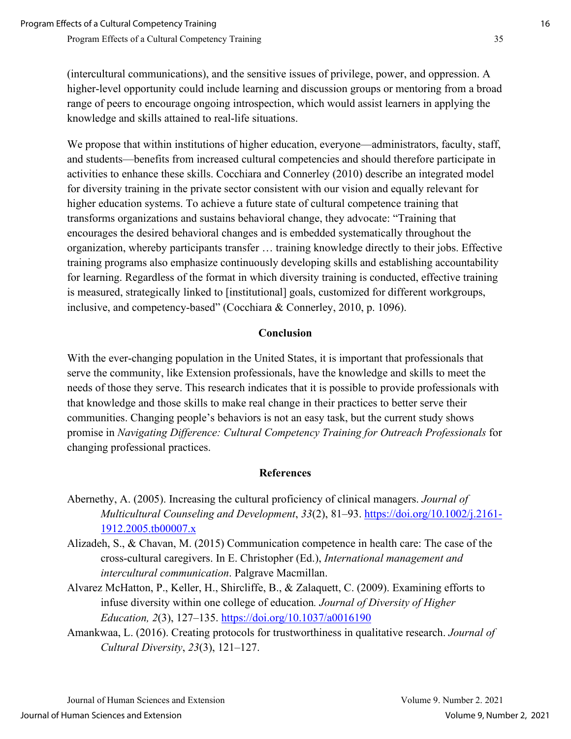(intercultural communications), and the sensitive issues of privilege, power, and oppression. A higher-level opportunity could include learning and discussion groups or mentoring from a broad range of peers to encourage ongoing introspection, which would assist learners in applying the knowledge and skills attained to real-life situations.

We propose that within institutions of higher education, everyone—administrators, faculty, staff, and students—benefits from increased cultural competencies and should therefore participate in activities to enhance these skills. Cocchiara and Connerley (2010) describe an integrated model for diversity training in the private sector consistent with our vision and equally relevant for higher education systems. To achieve a future state of cultural competence training that transforms organizations and sustains behavioral change, they advocate: "Training that encourages the desired behavioral changes and is embedded systematically throughout the organization, whereby participants transfer … training knowledge directly to their jobs. Effective training programs also emphasize continuously developing skills and establishing accountability for learning. Regardless of the format in which diversity training is conducted, effective training is measured, strategically linked to [institutional] goals, customized for different workgroups, inclusive, and competency-based" (Cocchiara & Connerley, 2010, p. 1096).

#### **Conclusion**

With the ever-changing population in the United States, it is important that professionals that serve the community, like Extension professionals, have the knowledge and skills to meet the needs of those they serve. This research indicates that it is possible to provide professionals with that knowledge and those skills to make real change in their practices to better serve their communities. Changing people's behaviors is not an easy task, but the current study shows promise in *Navigating Difference: Cultural Competency Training for Outreach Professionals* for changing professional practices.

#### **References**

- Abernethy, A. (2005). Increasing the cultural proficiency of clinical managers. *Journal of Multicultural Counseling and Development*, *33*(2), 81–93. [https://doi.org/10.1002/j.2161-](https://doi.org/10.1002/j.2161-1912.2005.tb00007.x) [1912.2005.tb00007.x](https://doi.org/10.1002/j.2161-1912.2005.tb00007.x)
- Alizadeh, S., & Chavan, M. (2015) Communication competence in health care: The case of the cross-cultural caregivers. In E. Christopher (Ed.), *International management and intercultural communication*. Palgrave Macmillan.
- Alvarez McHatton, P., Keller, H., Shircliffe, B., & Zalaquett, C. (2009). Examining efforts to infuse diversity within one college of education*. Journal of Diversity of Higher Education, 2*(3), 127–135.<https://doi.org/10.1037/a0016190>
- Amankwaa, L. (2016). Creating protocols for trustworthiness in qualitative research. *Journal of Cultural Diversity*, *23*(3), 121–127.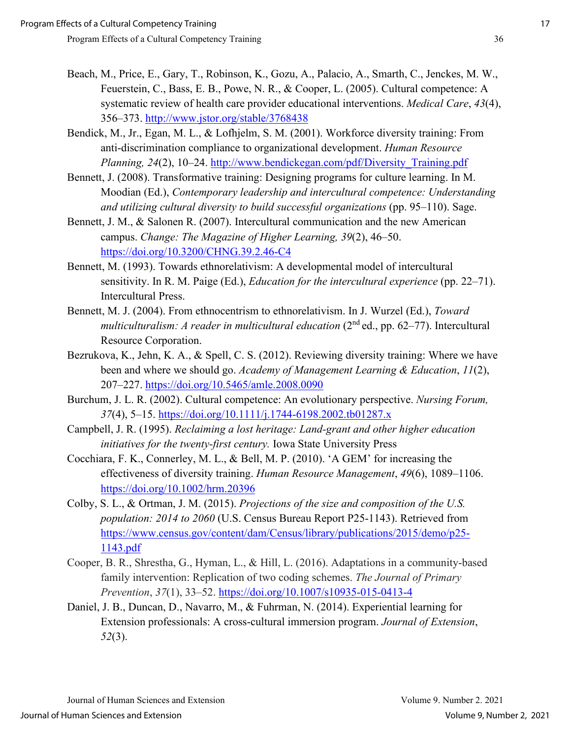- Beach, M., Price, E., Gary, T., Robinson, K., Gozu, A., Palacio, A., Smarth, C., Jenckes, M. W., Feuerstein, C., Bass, E. B., Powe, N. R., & Cooper, L. (2005). Cultural competence: A systematic review of health care provider educational interventions. *Medical Care*, *43*(4), 356–373.<http://www.jstor.org/stable/3768438>
- Bendick, M., Jr., Egan, M. L., & Lofhjelm, S. M. (2001). Workforce diversity training: From anti-discrimination compliance to organizational development. *Human Resource Planning, 24*(2), 10–24. [http://www.bendickegan.com/pdf/Diversity\\_Training.pdf](http://www.bendickegan.com/pdf/Diversity_Training.pdf)
- Bennett, J. (2008). Transformative training: Designing programs for culture learning. In M. Moodian (Ed.), *Contemporary leadership and intercultural competence: Understanding and utilizing cultural diversity to build successful organizations* (pp. 95–110). Sage.
- Bennett, J. M., & Salonen R. (2007). Intercultural communication and the new American campus. *Change: The Magazine of Higher Learning, 39*(2), 46–50. <https://doi.org/10.3200/CHNG.39.2.46-C4>
- Bennett, M. (1993). Towards ethnorelativism: A developmental model of intercultural sensitivity. In R. M. Paige (Ed.), *Education for the intercultural experience* (pp. 22–71). Intercultural Press.
- Bennett, M. J. (2004). From ethnocentrism to ethnorelativism. In J. Wurzel (Ed.), *Toward multiculturalism: A reader in multicultural education* (2<sup>nd</sup> ed., pp. 62–77). Intercultural Resource Corporation.
- Bezrukova, K., Jehn, K. A., & Spell, C. S. (2012). Reviewing diversity training: Where we have been and where we should go. *Academy of Management Learning & Education*, *11*(2), 207–227.<https://doi.org/10.5465/amle.2008.0090>
- Burchum, J. L. R. (2002). Cultural competence: An evolutionary perspective. *Nursing Forum, 37*(4), 5–15.<https://doi.org/10.1111/j.1744-6198.2002.tb01287.x>
- Campbell, J. R. (1995). *Reclaiming a lost heritage: Land-grant and other higher education initiatives for the twenty-first century.* Iowa State University Press
- Cocchiara, F. K., Connerley, M. L., & Bell, M. P. (2010). 'A GEM' for increasing the effectiveness of diversity training. *Human Resource Management*, *49*(6), 1089–1106. <https://doi.org/10.1002/hrm.20396>
- Colby, S. L., & Ortman, J. M. (2015). *Projections of the size and composition of the U.S. population: 2014 to 2060* (U.S. Census Bureau Report P25-1143). Retrieved from [https://www.census.gov/content/dam/Census/library/publications/2015/demo/p25-](https://www.census.gov/content/dam/Census/library/publications/2015/demo/p25-1143.pdf) [1143.pdf](https://www.census.gov/content/dam/Census/library/publications/2015/demo/p25-1143.pdf)
- Cooper, B. R., Shrestha, G., Hyman, L., & Hill, L. (2016). Adaptations in a community-based family intervention: Replication of two coding schemes. *The Journal of Primary Prevention*, *37*(1), 33–52.<https://doi.org/10.1007/s10935-015-0413-4>
- Daniel, J. B., Duncan, D., Navarro, M., & Fuhrman, N. (2014). Experiential learning for Extension professionals: A cross-cultural immersion program. *Journal of Extension*, *52*(3).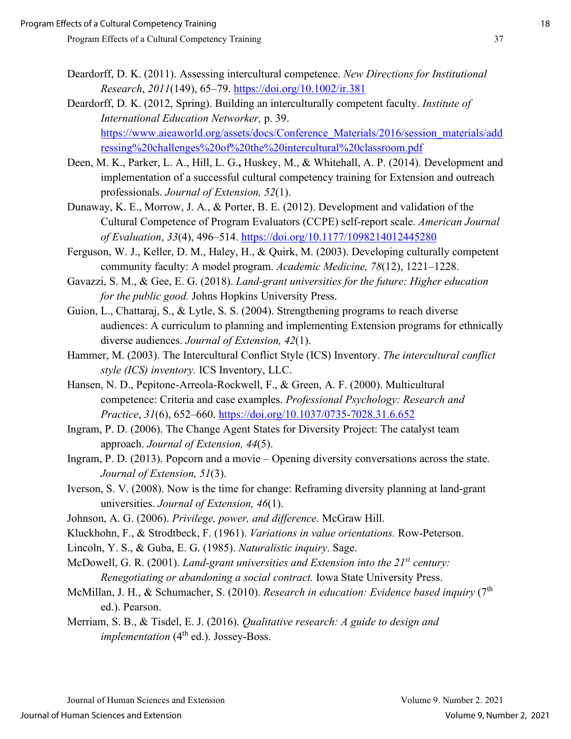- Deardorff, D. K. (2011). Assessing intercultural competence. *New Directions for Institutional Research*, *2011*(149), 65–79.<https://doi.org/10.1002/ir.381>
- Deardorff, D. K. (2012, Spring). Building an interculturally competent faculty. *Institute of International Education Networker,* p. 39. [https://www.aieaworld.org/assets/docs/Conference\\_Materials/2016/session\\_materials/add](https://www.aieaworld.org/assets/docs/Conference_Materials/2016/session_materials/addressing%20challenges%20of%20the%20intercultural%20classroom.pdf) [ressing%20challenges%20of%20the%20intercultural%20classroom.pdf](https://www.aieaworld.org/assets/docs/Conference_Materials/2016/session_materials/addressing%20challenges%20of%20the%20intercultural%20classroom.pdf)
- Deen, M. K., Parker, L. A., Hill, L. G.**,** Huskey, M., & Whitehall, A. P. (2014). Development and implementation of a successful cultural competency training for Extension and outreach professionals. *Journal of Extension, 52*(1).
- Dunaway, K. E., Morrow, J. A., & Porter, B. E. (2012). Development and validation of the Cultural Competence of Program Evaluators (CCPE) self-report scale. *American Journal of Evaluation*, *33*(4), 496–514.<https://doi.org/10.1177/1098214012445280>
- Ferguson, W. J., Keller, D. M., Haley, H., & Quirk, M. (2003). Developing culturally competent community faculty: A model program. *Academic Medicine, 78*(12), 1221–1228.
- Gavazzi, S. M., & Gee, E. G. (2018). *Land-grant universities for the future: Higher education for the public good.* Johns Hopkins University Press.
- Guion, L., Chattaraj, S., & Lytle, S. S. (2004). Strengthening programs to reach diverse audiences: A curriculum to planning and implementing Extension programs for ethnically diverse audiences. *Journal of Extension, 42*(1).
- Hammer, M. (2003). The Intercultural Conflict Style (ICS) Inventory. *The intercultural conflict style (ICS) inventory.* ICS Inventory, LLC.
- Hansen, N. D., Pepitone-Arreola-Rockwell, F., & Green, A. F. (2000). Multicultural competence: Criteria and case examples. *Professional Psychology: Research and Practice*, *31*(6), 652–660.<https://doi.org/10.1037/0735-7028.31.6.652>
- Ingram, P. D. (2006). The Change Agent States for Diversity Project: The catalyst team approach. *Journal of Extension, 44*(5).
- Ingram, P. D. (2013). Popcorn and a movie Opening diversity conversations across the state. *Journal of Extension, 51*(3).
- Iverson, S. V. (2008). Now is the time for change: Reframing diversity planning at land-grant universities. *Journal of Extension, 46*(1).
- Johnson, A. G. (2006). *Privilege, power, and difference.* McGraw Hill.
- Kluckhohn, F., & Strodtbeck, F. (1961). *Variations in value orientations.* Row-Peterson.
- Lincoln, Y. S., & Guba, E. G. (1985). *Naturalistic inquiry*. Sage.
- McDowell, G. R. (2001). *Land-grant universities and Extension into the 21st century: Renegotiating or abandoning a social contract.* Iowa State University Press.
- McMillan, J. H., & Schumacher, S. (2010). *Research in education: Evidence based inquiry* (7<sup>th</sup>) ed.). Pearson.
- Merriam, S. B., & Tisdel, E. J. (2016). *Qualitative research: A guide to design and implementation* (4<sup>th</sup> ed.). Jossey-Boss.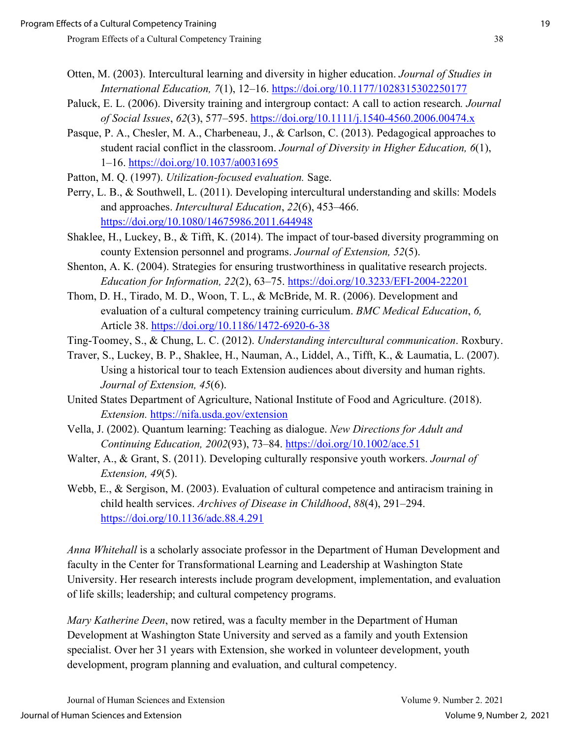- Otten, M. (2003). Intercultural learning and diversity in higher education. *Journal of Studies in International Education, 7*(1), 12–16.<https://doi.org/10.1177/1028315302250177>
- Paluck, E. L. (2006). Diversity training and intergroup contact: A call to action research*. Journal of Social Issues*, *62*(3), 577–595.<https://doi.org/10.1111/j.1540-4560.2006.00474.x>
- Pasque, P. A., Chesler, M. A., Charbeneau, J., & Carlson, C. (2013). Pedagogical approaches to student racial conflict in the classroom. *Journal of Diversity in Higher Education, 6*(1), 1–16.<https://doi.org/10.1037/a0031695>
- Patton, M. Q. (1997). *Utilization-focused evaluation.* Sage.
- Perry, L. B., & Southwell, L. (2011). Developing intercultural understanding and skills: Models and approaches. *Intercultural Education*, *22*(6), 453–466. <https://doi.org/10.1080/14675986.2011.644948>
- Shaklee, H., Luckey, B., & Tifft, K. (2014). The impact of tour-based diversity programming on county Extension personnel and programs. *Journal of Extension, 52*(5).
- Shenton, A. K. (2004). Strategies for ensuring trustworthiness in qualitative research projects. *Education for Information, 22*(2), 63–75.<https://doi.org/10.3233/EFI-2004-22201>
- Thom, D. H., Tirado, M. D., Woon, T. L., & McBride, M. R. (2006). Development and evaluation of a cultural competency training curriculum. *BMC Medical Education*, *6,*  Article 38.<https://doi.org/10.1186/1472-6920-6-38>
- Ting-Toomey, S., & Chung, L. C. (2012). *Understanding intercultural communication*. Roxbury.
- Traver, S., Luckey, B. P., Shaklee, H., Nauman, A., Liddel, A., Tifft, K., & Laumatia, L. (2007). Using a historical tour to teach Extension audiences about diversity and human rights. *Journal of Extension, 45*(6).
- United States Department of Agriculture, National Institute of Food and Agriculture. (2018). *Extension.* <https://nifa.usda.gov/extension>
- Vella, J. (2002). Quantum learning: Teaching as dialogue. *New Directions for Adult and Continuing Education, 2002*(93), 73–84.<https://doi.org/10.1002/ace.51>
- Walter, A., & Grant, S. (2011). Developing culturally responsive youth workers. *Journal of Extension, 49*(5).
- Webb, E., & Sergison, M. (2003). Evaluation of cultural competence and antiracism training in child health services. *Archives of Disease in Childhood*, *88*(4), 291–294. <https://doi.org/10.1136/adc.88.4.291>

*Anna Whitehall* is a scholarly associate professor in the Department of Human Development and faculty in the Center for Transformational Learning and Leadership at Washington State University. Her research interests include program development, implementation, and evaluation of life skills; leadership; and cultural competency programs.

*Mary Katherine Deen*, now retired, was a faculty member in the Department of Human Development at Washington State University and served as a family and youth Extension specialist. Over her 31 years with Extension, she worked in volunteer development, youth development, program planning and evaluation, and cultural competency.